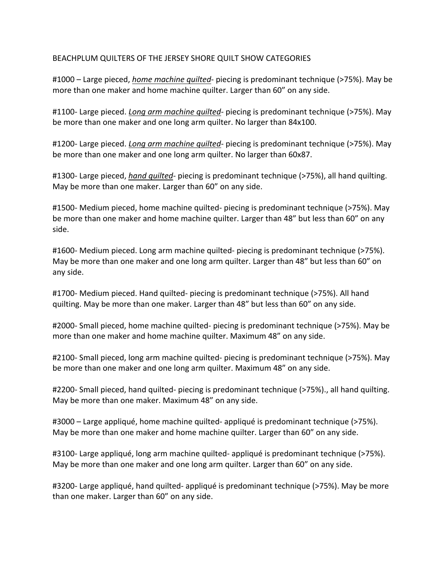## BEACHPLUM QUILTERS OF THE JERSEY SHORE QUILT SHOW CATEGORIES

#1000 – Large pieced, *home machine quilted*- piecing is predominant technique (>75%). May be more than one maker and home machine quilter. Larger than 60" on any side.

#1100- Large pieced. *Long arm machine quilted*- piecing is predominant technique (>75%). May be more than one maker and one long arm quilter. No larger than 84x100.

#1200- Large pieced. *Long arm machine quilted*- piecing is predominant technique (>75%). May be more than one maker and one long arm quilter. No larger than 60x87.

#1300- Large pieced, *hand quilted*- piecing is predominant technique (>75%), all hand quilting. May be more than one maker. Larger than 60" on any side.

#1500- Medium pieced, home machine quilted- piecing is predominant technique (>75%). May be more than one maker and home machine quilter. Larger than 48" but less than 60" on any side.

#1600- Medium pieced. Long arm machine quilted- piecing is predominant technique (>75%). May be more than one maker and one long arm quilter. Larger than 48" but less than 60" on any side.

#1700- Medium pieced. Hand quilted- piecing is predominant technique (>75%). All hand quilting. May be more than one maker. Larger than 48" but less than 60" on any side.

#2000- Small pieced, home machine quilted- piecing is predominant technique (>75%). May be more than one maker and home machine quilter. Maximum 48" on any side.

#2100- Small pieced, long arm machine quilted- piecing is predominant technique (>75%). May be more than one maker and one long arm quilter. Maximum 48" on any side.

#2200- Small pieced, hand quilted- piecing is predominant technique (>75%)., all hand quilting. May be more than one maker. Maximum 48" on any side.

#3000 – Large appliqué, home machine quilted- appliqué is predominant technique (>75%). May be more than one maker and home machine quilter. Larger than 60" on any side.

#3100- Large appliqué, long arm machine quilted- appliqué is predominant technique (>75%). May be more than one maker and one long arm quilter. Larger than 60" on any side.

#3200- Large appliqué, hand quilted- appliqué is predominant technique (>75%). May be more than one maker. Larger than 60" on any side.